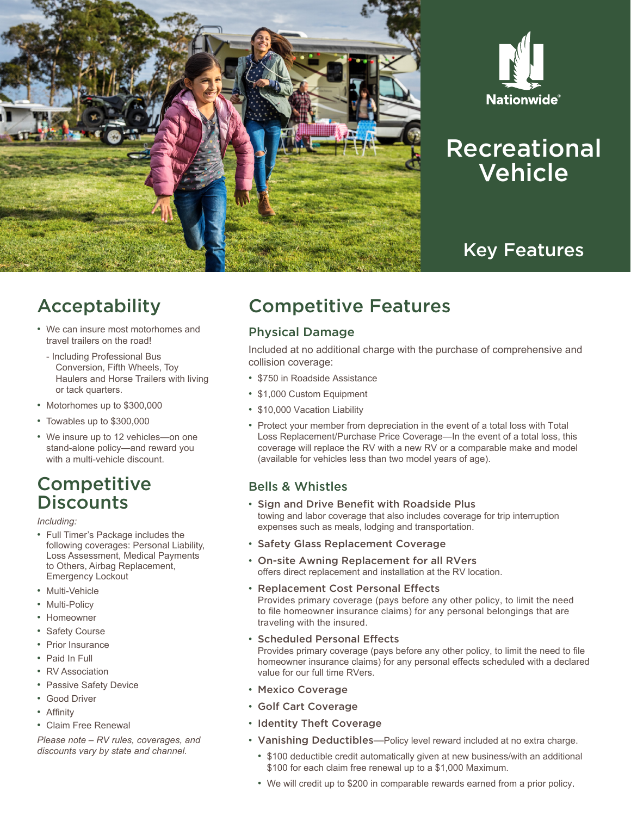



# Recreational Vehicle

## Key Features

## Acceptability

- We can insure most motorhomes and travel trailers on the road!
- Including Professional Bus Conversion, Fifth Wheels, Toy Haulers and Horse Trailers with living or tack quarters.
- Motorhomes up to \$300,000
- Towables up to \$300,000
- We insure up to 12 vehicles—on one stand-alone policy—and reward you with a multi-vehicle discount.

### **Competitive Discounts**

*Including:*

- Full Timer's Package includes the following coverages: Personal Liability, Loss Assessment, Medical Payments to Others, Airbag Replacement, Emergency Lockout
- Multi-Vehicle
- Multi-Policy
- Homeowner
- Safety Course
- Prior Insurance
- Paid In Full
- RV Association
- Passive Safety Device
- Good Driver
- Affinity
- Claim Free Renewal

*Please note – RV rules, coverages, and discounts vary by state and channel.*

## Competitive Features

### Physical Damage

Included at no additional charge with the purchase of comprehensive and collision coverage:

- \$750 in Roadside Assistance
- \$1,000 Custom Equipment
- \$10,000 Vacation Liability
- Protect your member from depreciation in the event of a total loss with Total Loss Replacement/Purchase Price Coverage—In the event of a total loss, this coverage will replace the RV with a new RV or a comparable make and model (available for vehicles less than two model years of age).

### Bells & Whistles

- Sign and Drive Benefit with Roadside Plus towing and labor coverage that also includes coverage for trip interruption expenses such as meals, lodging and transportation.
- Safety Glass Replacement Coverage
- On-site Awning Replacement for all RVers offers direct replacement and installation at the RV location.
- Replacement Cost Personal Effects

Provides primary coverage (pays before any other policy, to limit the need to file homeowner insurance claims) for any personal belongings that are traveling with the insured.

• Scheduled Personal Effects

Provides primary coverage (pays before any other policy, to limit the need to file homeowner insurance claims) for any personal effects scheduled with a declared value for our full time RVers.

- Mexico Coverage
- Golf Cart Coverage
- Identity Theft Coverage
- Vanishing Deductibles—Policy level reward included at no extra charge.
	- \$100 deductible credit automatically given at new business/with an additional \$100 for each claim free renewal up to a \$1,000 Maximum.
	- We will credit up to \$200 in comparable rewards earned from a prior policy.